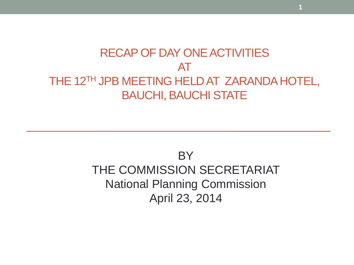### RECAP OF DAY ONE ACTIVITIES AT THE 12<sup>TH</sup> JPB MEETING HELD AT ZARANDA HOTEL, BAUCHI, BAUCHI STATE

### BY THE COMMISSION SECRETARIAT National Planning Commission April 23, 2014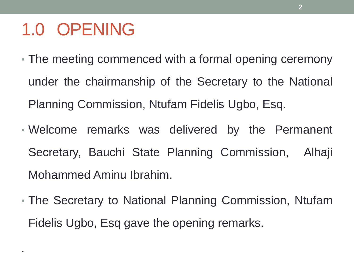## 1.0 OPENING

.

- The meeting commenced with a formal opening ceremony under the chairmanship of the Secretary to the National Planning Commission, Ntufam Fidelis Ugbo, Esq.
- Welcome remarks was delivered by the Permanent Secretary, Bauchi State Planning Commission, Alhaji Mohammed Aminu Ibrahim.
- The Secretary to National Planning Commission, Ntufam Fidelis Ugbo, Esq gave the opening remarks.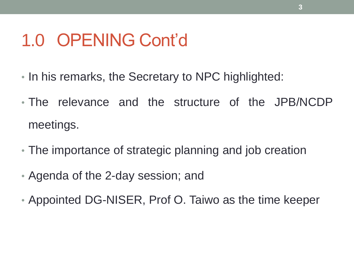### 1.0 OPENING Cont'd

- In his remarks, the Secretary to NPC highlighted:
- The relevance and the structure of the JPB/NCDP meetings.
- The importance of strategic planning and job creation
- Agenda of the 2-day session; and
- Appointed DG-NISER, Prof O. Taiwo as the time keeper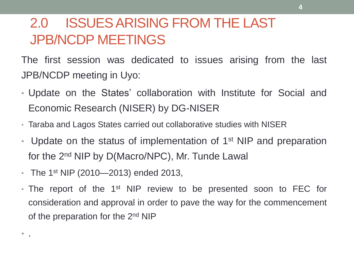### 2.0 ISSUES ARISING FROM THE LAST JPB/NCDP MEETINGS

The first session was dedicated to issues arising from the last JPB/NCDP meeting in Uyo:

- Update on the States' collaboration with Institute for Social and Economic Research (NISER) by DG-NISER
- Taraba and Lagos States carried out collaborative studies with NISER
- Update on the status of implementation of  $1<sup>st</sup>$  NIP and preparation for the 2<sup>nd</sup> NIP by D(Macro/NPC), Mr. Tunde Lawal
- The 1st NIP (2010—2013) ended 2013,

 $\bullet$  .

• The report of the 1<sup>st</sup> NIP review to be presented soon to FEC for consideration and approval in order to pave the way for the commencement of the preparation for the 2<sup>nd</sup> NIP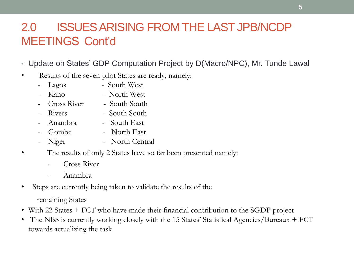#### 2.0 ISSUES ARISING FROM THE LAST JPB/NCDP MEETINGS Cont'd

- Update on States' GDP Computation Project by D(Macro/NPC), Mr. Tunde Lawal
- Results of the seven pilot States are ready, namely:
	- Lagos South West
	- Kano North West
	- Cross River South South
	- Rivers South South
	- Anambra South East
	- Gombe North East
	- Niger North Central
- The results of only 2 States have so far been presented namely:
	- Cross River
	- Anambra
- Steps are currently being taken to validate the results of the
	- remaining States
- With 22 States + FCT who have made their financial contribution to the SGDP project
- The NBS is currently working closely with the 15 States' Statistical Agencies/Bureaux + FCT towards actualizing the task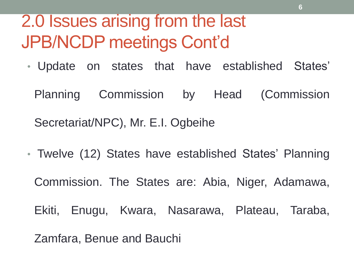## 2.0 Issues arising from the last JPB/NCDP meetings Cont'd

• Update on states that have established States'

Planning Commission by Head (Commission

Secretariat/NPC), Mr. E.I. Ogbeihe

• Twelve (12) States have established States' Planning Commission. The States are: Abia, Niger, Adamawa, Ekiti, Enugu, Kwara, Nasarawa, Plateau, Taraba, Zamfara, Benue and Bauchi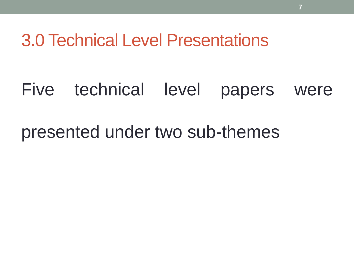3.0 Technical Level Presentations

### Five technical level papers were

### presented under two sub-themes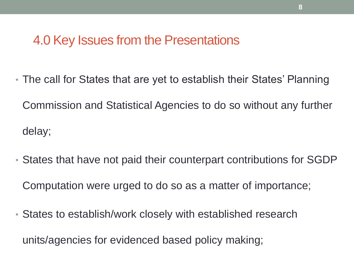### 4.0 Key Issues from the Presentations

- The call for States that are yet to establish their States' Planning Commission and Statistical Agencies to do so without any further delay;
- States that have not paid their counterpart contributions for SGDP Computation were urged to do so as a matter of importance;
- States to establish/work closely with established research

units/agencies for evidenced based policy making;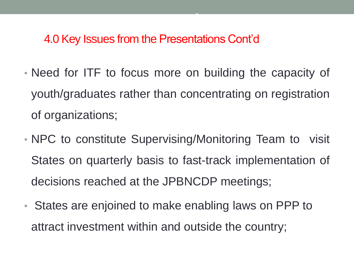#### 4.0 Key Issues from the Presentations Cont'd

• Need for ITF to focus more on building the capacity of youth/graduates rather than concentrating on registration of organizations;

**9**

- NPC to constitute Supervising/Monitoring Team to visit States on quarterly basis to fast-track implementation of decisions reached at the JPBNCDP meetings;
- States are enjoined to make enabling laws on PPP to attract investment within and outside the country;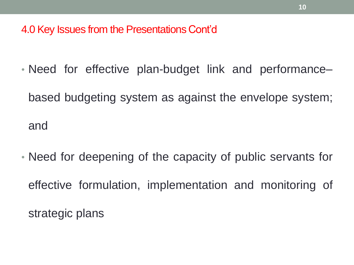4.0 Key Issues from the Presentations Cont'd

• Need for effective plan-budget link and performance–

based budgeting system as against the envelope system; and

• Need for deepening of the capacity of public servants for effective formulation, implementation and monitoring of strategic plans